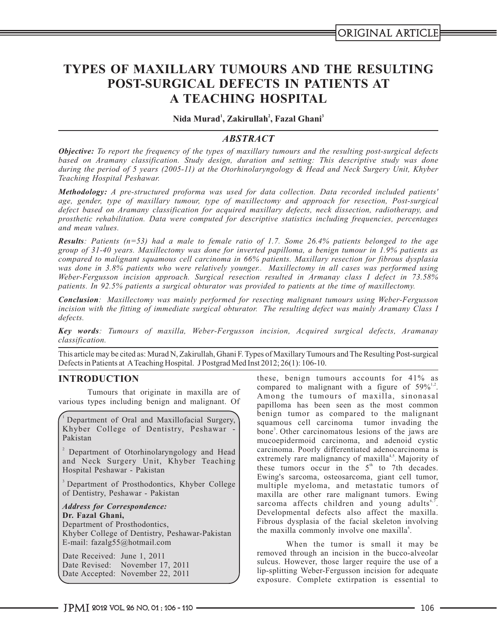# **TYPES OF MAXILLARY TUMOURS AND THE RESULTING POST-SURGICAL DEFECTS IN PATIENTS AT A TEACHING HOSPITAL**

**<sup>1</sup> <sup>2</sup> <sup>3</sup> Nida Murad , Zakirullah , Fazal Ghani**

# *ABSTRACT*

*Objective: To report the frequency of the types of maxillary tumours and the resulting post-surgical defects based on Aramany classification. Study design, duration and setting: This descriptive study was done during the period of 5 years (2005-11) at the Otorhinolaryngology & Head and Neck Surgery Unit, Khyber Teaching Hospital Peshawar.*

*Methodology: A pre-structured proforma was used for data collection. Data recorded included patients' age, gender, type of maxillary tumour, type of maxillectomy and approach for resection, Post-surgical defect based on Aramany classification for acquired maxillary defects, neck dissection, radiotherapy, and prosthetic rehabilitation. Data were computed for descriptive statistics including frequencies, percentages and mean values.*

*Results: Patients (n=53) had a male to female ratio of 1.7. Some 26.4% patients belonged to the age group of 31-40 years. Maxillectomy was done for inverted papilloma, a benign tumour in 1.9% patients as compared to malignant squamous cell carcinoma in 66% patients. Maxillary resection for fibrous dysplasia was done in 3.8% patients who were relatively younger.. Maxillectomy in all cases was performed using Weber-Fergusson incision approach. Surgical resection resulted in Armanay class I defect in 73.58% patients. In 92.5% patients a surgical obturator was provided to patients at the time of maxillectomy.*

*Conclusion: Maxillectomy was mainly performed for resecting malignant tumours using Weber-Fergusson incision with the fitting of immediate surgical obturator. The resulting defect was mainly Aramany Class I defects.*

*Key words: Tumours of maxilla, Weber-Fergusson incision, Acquired surgical defects, Aramanay classification.*

This article may be cited as: Murad N, Zakirullah, Ghani F. Types of Maxillary Tumours and The Resulting Post-surgical Defects in Patients at ATeaching Hospital. J Postgrad Med Inst 2012; 26(1): 106-10.

Department of Oral and Maxillofacial Surgery, Khyber College of Dentistry, Peshawar - Pakistan

<sup>2</sup> Department of Otorhinolaryngology and Head and Neck Surgery Unit, Khyber Teaching Hospital Peshawar - Pakistan

<sup>3</sup> Department of Prosthodontics, Khyber College of Dentistry, Peshawar - Pakistan

*Address for Correspondence:*  **Dr. Fazal Ghani,** Department of Prosthodontics, Khyber College of Dentistry, Peshawar-Pakistan E-mail: fazalg55@hotmail.com

Date Received: June 1, 2011 Date Revised: November 17, 2011 Date Accepted: November 22, 2011

**INTRODUCTION** these, benign tumours accounts for 41% as compared to malignant with a figure of  $59\%^{1,2}$ . Tumours that originate in maxilla are of<br>various types including benign and malignant. Of annilloma has been seen as the most common papilloma has been seen as the most common benign tumor as compared to the malignant squamous cell carcinoma tumor invading the bone<sup>3</sup>. Other carcinomatous lesions of the jaws are mucoepidermoid carcinoma, and adenoid cystic carcinoma. Poorly differentiated adenocarcinoma is extremely rare malignancy of maxilla<sup>4,5</sup>. Majority of these tumors occur in the  $5<sup>th</sup>$  to 7th decades. Ewing's sarcoma, osteosarcoma, giant cell tumor, multiple myeloma, and metastatic tumors of maxilla are other rare malignant tumors. Ewing sarcoma affects children and young adults<sup>6,7</sup>. Developmental defects also affect the maxilla. Fibrous dysplasia of the facial skeleton involving the maxilla commonly involve one maxilla<sup>8</sup>.

> When the tumor is small it may be removed through an incision in the bucco-alveolar sulcus. However, those larger require the use of a lip-splitting Weber-Fergusson incision for adequate exposure. Complete extirpation is essential to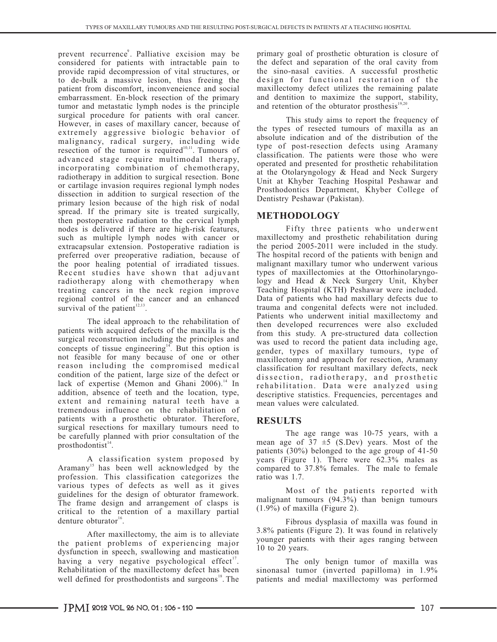prevent recurrence<sup>9</sup>. Palliative excision may be primary goal of prosthetic obturation is closure of considered for patients with intractable pain to the defect and separation of the oral cavity from provide rapid decompression of vital structures, or the sino-nasal cavities. A successful prosthetic provide rapid decompression of vital structures, or the sino-nasal cavities. A successful prosthetic to de-bulk a massive lesion, thus freeing the patient from discomfort, inconveneience and social patient from discomfort, inconveneience and social maxillectomy defect utilizes the remaining palate embarrassment. En-block resection of the primary and dentition to maximize the support, stability, tumor and metastatic lymph nodes is the principle surgical procedure for patients with oral cancer. surgical procedure for patients with oral cancer. This study aims to report the frequency of However, in cases of maxillary cancer, because of extremely aggressive biologic behavior of malignancy, radical surgery, including wide resection of the tumor is required<sup>10,11</sup>. Tumours of advanced stage require multimodal therapy, incorporating combination of chemotherapy, radiotherapy in addition to surgical resection. Bone<br>or cartilage invasion requires regional lymph nodes<br> $\frac{1}{2}$  Unit at Khyber Teaching Hospital Peshawar and dissection in addition to surgical resection of the Dentistry Peshawar (Pakistan). primary lesion because of the high risk of nodal spread. If the primary site is treated surgically,<br>then postoperative radiation to the cervical lymph<br>nodes is delivered if there are high-risk features.<br>Fifty three patients who underwent nodes is delivered if there are high-risk features,<br>such as multiple lymph nodes with cancer or maxillectomy and prosthetic rehabilitation during such as multiple lymph nodes with cancer or maxillectomy and prosthetic rehabilitation during extracapsular extension. Postoperative radiation is the period 2005-2011 were included in the study. extracapsular extension. Postoperative radiation is preferred over preoperative radiation, because of preferred over preoperative radiation, because of The hospital record of the patients with benign and the poor healing potential of irradiated tissues. Inalignant maxillary tumor who underwent various Recent studies have shown that adjuvant radiotherapy along with chemotherapy when treating cancers in the neck region improve Teaching Hospital (KTH) Peshawar were included.<br>
regional control of the cancer and an enhanced Data of patients who had maxillary defects due to regional control of the cancer and an enhanced survival of the patient<sup>12,13</sup>.

The ideal approach to the rehabilitation of<br>patients with acquired defects of the maxilla is the<br>from this study. A pre-structured data collection patients with acquired defects of the maxilla is the from this study. A pre-structured data collection surgical reconstruction including the principles and was used to record the patient data including age surgical reconstruction including the principles and was used to record the patient data including age, concepts of tissue engineering  $\frac{14}{15}$ . But this option is sender types of maxillary tumours, type of concepts of tissue engineering. But this option is gender, types of maxillary tumours, type of not feasible for many because of one or other maxillectomy and approach for resection Aramany not feasible for many because of one or other maxillectomy and approach for resection, Aramany reason including the compromised medical selection for resultant maxillery defects neck reason including the compromised medical classification for resultant maxillary defects, neck<br>condition of the patient, large size of the defect or dissection radiotherany and prosthetic condition of the patient, large size of the defect or dissection, radiotherapy, and prosthetic lack of expertise (Memon and Ghani 2006).<sup>14</sup> In rehabilitation. Data were analyzed using lack of expertise (Memon and Ghani 2006). In rehabilitation. Data were analyzed using addition, absence of teeth and the location, type, descriptive statistics Frequencies percentages and extent and remaining natural teeth have a tremendous influence on the rehabilitation of patients with a prosthetic obturator. Therefore, **RESULTS** surgical resections for maxillary tumours need to The age range was 10-75 years, with a be carefully planned with prior consultation of the The age range was 10-75 years, with a prosthodontist<sup>14</sup>. mean age of  $37 \pm 5$  (S.Dev) years. Most of the

 $A$ ramany<sup>15</sup> has been well acknowledged by the compared to 37.8% females. The male to female profession. This classification categorizes the ratio was 1.7.<br>various types of defects as well as it gives guidelines for the design of obturator framework. The frame design and arrangement of clasps is  $\frac{\text{malignant tumors (94.3%)}}{\text{(1.9%) of maximal (Figure 2)}}$ . critical to the retention of a maxillary partial denture obturator $16$ .

the patient problems of experiencing major dysfunction in speech, swallowing and mastication having a very negative psychological effect<sup>17</sup>. The only benign tumor of maxilla was Rehabilitation of the maxillectomy defect has been sinonasal tumor (inverted papilloma) in 1.9% well defined for prosthodontists and surgeons . The patients and medial maxillectomy was performed

and dentition to maximize the support, stability, and retention of the obturator prosthesis<sup>19,20</sup>.

the types of resected tumours of maxilla as an absolute indication and of the distribution of the type of post-resection defects using Aramany classification. The patients were those who were at the Otolaryngology & Head and Neck Surgery Prosthodontics Department, Khyber College of

malignant maxillary tumor who underwent various<br>types of maxillectomies at the Ottorhinolaryngology and Head & Neck Surgery Unit, Khyber<br>Teaching Hospital (KTH) Peshawar were included. trauma and congenital defects were not included. Patients who underwent initial maxillectomy and descriptive statistics. Frequencies, percentages and mean values were calculated.

patients (30%) belonged to the age group of 41-50 A classification system proposed by years (Figure 1). There were  $62.3\%$  males as

Most of the patients reported with<br>malignant tumours (94.3%) than benign tumours

Fibrous dysplasia of maxilla was found in After maxillectomy, the aim is to alleviate  $3.8\%$  patients (Figure 2). It was found in relatively international property patients with their ages ranging between 10 to 20 years.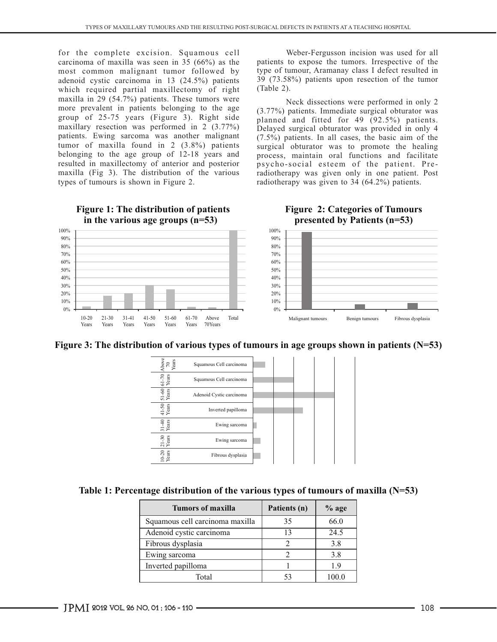for the complete excision. Squamous cell Weber-Fergusson incision was used for all carcinoma of maxilla was seen in 35 (66%) as the patients to expose the tumors. Irrespective of the most common malignant tumor followed by type of tumour, Aramanay class I defect resulted in most common malignant tumor followed by type of tumour, Aramanay class I defect resulted in adenoid cystic carcinoma in 13 (24.5%) patients 39 (73.58%) patients upon resection of the tumor adenoid cystic carcinoma in 13 (24.5%) patients  $\frac{39}{73.58}$  which required partial maxillectomy of right (Table 2). which required partial maxillectomy of right maxilla in 29 (54.7%) patients. These tumors were<br>more prevalent in patients belonging to the age  $(3.77\%)$  patients. Immediate surgical obturator was more prevalent in patients belonging to the age  $(3.77%)$  patients. Immediate surgical obturator was group of 25-75 years (Figure 3). Right side algoring and fitted for 40 (92.5%) patients. group of 25-75 years (Figure 3). Right side  $\frac{1}{2}$  planned and fitted for 49 (92.5%) patients.<br>maxillary resection was performed in 2 (3.77%) Delayed surgical obturator was provided in only 4 maxillary resection was performed in 2  $(3.77%)$  Delayed surgical obturator was provided in only 4 patients. Ewing sarcoma was another malignant  $(7.5%)$  patients. In all cases, the basic aim of the patients. Ewing sarcoma was another malignant (7.5%) patients. In all cases, the basic aim of the tumor of maxilla found in 2 (3.8%) patients surgical obturator was to promote the healing tumor of maxilla found in 2  $(3.8\%)$  patients surgical obturator was to promote the healing belonging to the age group of 12-18 years and process, maintain oral functions and facilitate belonging to the age group of 12-18 years and process, maintain oral functions and facilitate resulted in maxillectomy of anterior and posterior psycho-social esteem of the patient. Preresulted in maxillectomy of anterior and posterior psycho-social esteem of the patient. Pre-<br>maxilla (Fig 3). The distribution of the various radiotherapy was given only in one patient. Post maxilla (Fig 3). The distribution of the various radiotherapy was given only in one patient. Post types of tumours is shown in Figure 2. radiotherapy was given to 34 (64.2%) patients.

radiotherapy was given to 34 (64.2%) patients.



## **Figure 1: The distribution of patients in the various age groups (n=53)**

**Figure 2: Categories of Tumours presented by Patients (n=53)** 





| Table 1: Percentage distribution of the various types of tumours of maxilla $(N=53)$ |  |  |
|--------------------------------------------------------------------------------------|--|--|
|                                                                                      |  |  |

| Tumors of maxilla               | Patients (n) | $%$ age |
|---------------------------------|--------------|---------|
| Squamous cell carcinoma maxilla | 35           | 66.0    |
| Adenoid cystic carcinoma        | $\sqrt{2}$   | 24.5    |
| Fibrous dysplasia               |              | 3.8     |
| Ewing sarcoma                   |              | 3.8     |
| Inverted papilloma              |              | 19      |
| Total                           |              |         |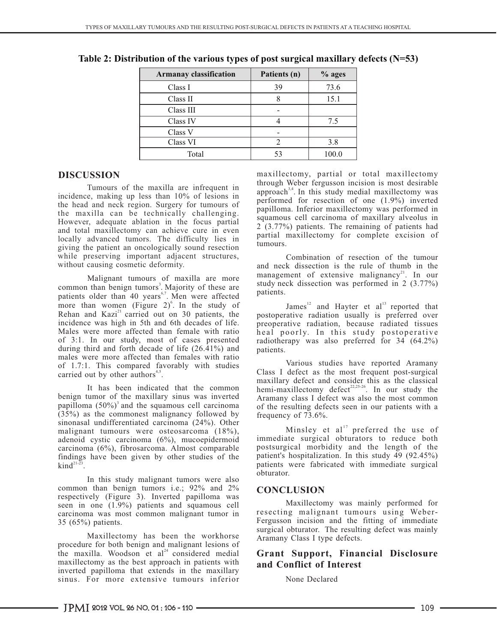| <b>Armanay classification</b> | Patients (n) | $%$ ages |
|-------------------------------|--------------|----------|
| Class I                       | 39           | 73.6     |
| Class II                      |              | 15.1     |
| Class III                     |              |          |
| Class IV                      |              | 7.5      |
| Class V                       |              |          |
| Class VI                      |              | 3.8      |
| Total                         | 53           | 100.0    |

**Table 2: Distribution of the various types of post surgical maxillary defects (N=53)**

Tumours of the maxilla are infrequent in incidence, making up less than 10% of lesions in the head and neck region. Surgery for tumours of the maxilla can be technically challenging. However, adequate ablation in the focus partial and total maxillectomy can achieve cure in even locally advanced tumors. The difficulty lies in giving the patient an oncologically sound resection while preserving important adjacent structures, without causing cosmetic deformity.

Malignant tumours of maxilla are more  $\frac{1}{2}$  study neck dissection was performed in 2 (3.77%) patients older than 40 years<sup>6,7</sup>. Men were affected patients. more than women (Figure 2)<sup>6</sup>. In the study of James<sup>12</sup> and Hayter et al<sup>13</sup> reported that Rehan and Kazi<sup>21</sup> carried out on 30 patients, the postoperative radiation usually is preferred over Rehan and Kazi<sup>21</sup> carried out on 30 patients, the postoperative radiation usually is preferred over incidence was high in 5th and 6th decades of life. preoperative radiation, because radiated tissues incidence was high in 5th and 6th decades of life. preoperative radiation, because radiated tissues<br>Males were more affected than female with ratio heal poorly. In this study postoperative Males were more affected than female with ratio  $\hat{h}$  e a l poorly. In this study postoperative of 3:1. In our study, most of cases presented radiotherany was also preferred for 34 (64.2%) during third and forth decade of life  $(26.41\%)$  and males were more affected than females with ratio Various studies have reported Aramany of 1.7:1. This compared favorably with studies  $\frac{4}{5}$  Class I defect as the most frequent post-surgical carried out by other authors<sup>4,5</sup>.

benign tumor of the maxillary sinus was inverted Aramany class I defect was also the most common papilloma  $(50\%)$ <sup>3</sup> and the squamous cell carcinoma  $(35%)$  as the commonest malignancy followed by sinonasal undifferentiated carcinoma (24%). Other malignant tumours were osteosarcoma  $(18\%)$ , Minsley et al preferred the use of adenoid cystic carcinoma (6%) mucoenidermoid immediate surgical obturators to reduce both adenoid cystic carcinoma (6%), mucoepidermoid immediate surgical obturators to reduce both carcinoma (6%). fibrosarcoma Almost comparable postsurgical morbidity and the length of the carcinoma (6%), fibrosarcoma. Almost comparable postsurgical morbidity and the length of the findings have been given by other studies of the patient's hospitalization. In this study 49 (92.45%) findings have been given by other studies of the  $\mathrm{kind}^{21-23}$ 

In this study malignant tumors were also common than benign tumors i.e.; 92% and 2% **CONCLUSION** respectively (Figure 3). Inverted papilloma was Seen in one (1.9%) patients and squamous cell<br>carcinoma was most common malignant tumor in **Execting malignant tumours** using Webercarcinoma was most common malignant tumor in  $35(65%)$  patients.

Maxillectomy has been the workhorse Aramany Class I type defects. procedure for both benign and malignant lesions of the maxilla. Woodson et al<sup>24</sup> considered medial **Grant Support, Financial Disclosure** maxillectomy as the best approach in patients with and Conflict of Interest maxillectomy as the best approach in patients with **and Conflict of Interest** inverted papilloma that extends in the maxillary sinus. For more extensive tumours inferior

**DISCUSSION** maxillectomy, partial or total maxillectomy through Weber fergusson incision is most desirable approach<sup>3,4</sup>. In this study medial maxillectomy was performed for resection of one (1.9%) inverted papilloma. Inferior maxillectomy was performed in squamous cell carcinoma of maxillary alveolus in 2 (3.77%) patients. The remaining of patients had partial maxillectomy for complete excision of tumours.

Combination of resection of the tumour and neck dissection is the rule of thumb in the Malignant tumours of maxilla are more management of extensive malignancy<sup>21</sup>. In our

radiotherapy was also preferred for  $34 \left(64.2\% \right)$  patients.

maxillary defect and consider this as the classical It has been indicated that the common hemi-maxillectomy defect<sup>22,25-26</sup>. In our study the of the resulting defects seen in our patients with a frequency of  $73.6\%$ .

> Minsley et al<sup>17</sup> preferred the use of patients were fabricated with immediate surgical obturator.

Fergusson incision and the fitting of immediate surgical obturator. The resulting defect was mainly

### None Declared